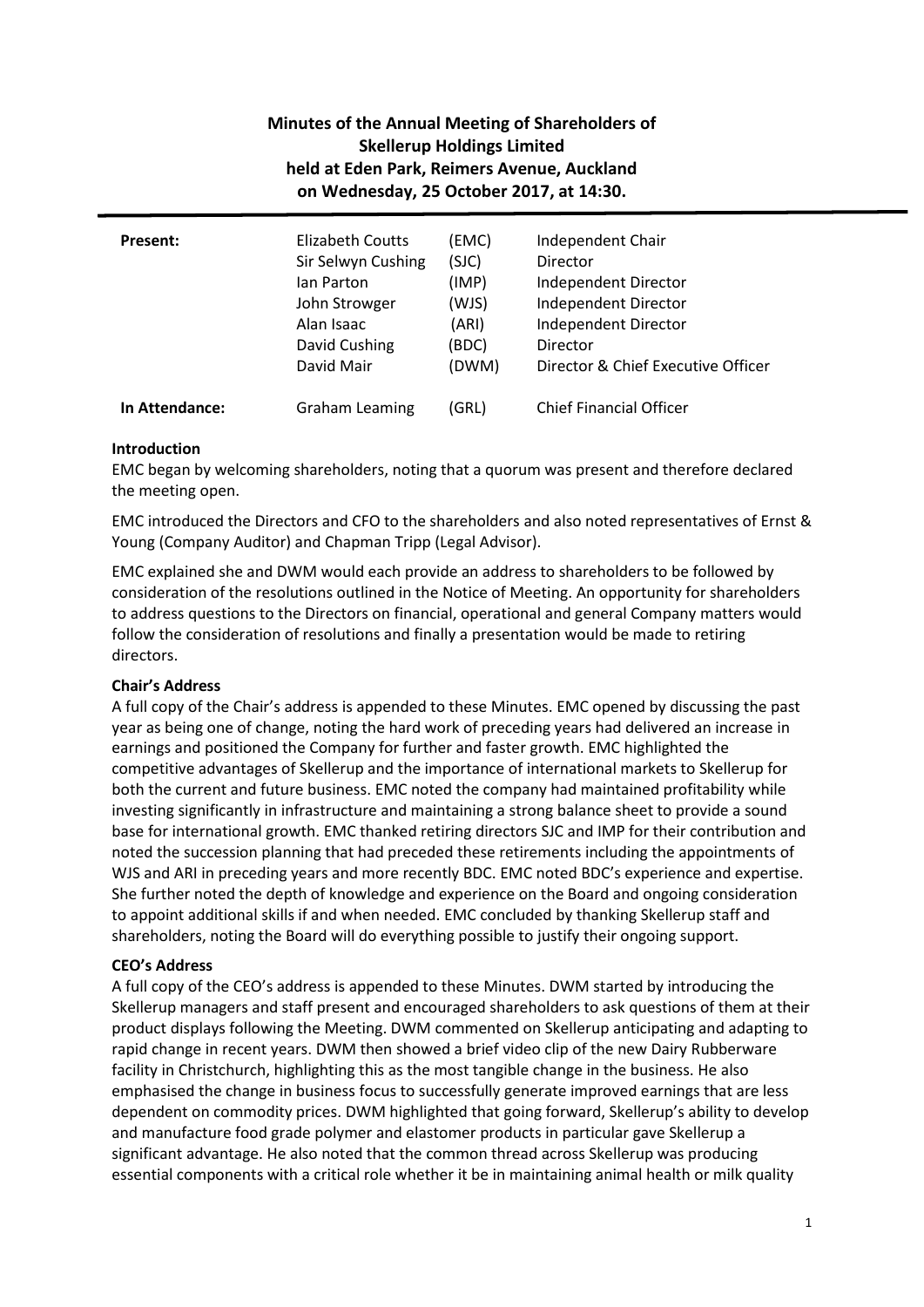# **Minutes of the Annual Meeting of Shareholders of Skellerup Holdings Limited held at Eden Park, Reimers Avenue, Auckland on Wednesday, 25 October 2017, at 14:30.**

| Present:       | Elizabeth Coutts      | (EMC) | Independent Chair                  |
|----------------|-----------------------|-------|------------------------------------|
|                | Sir Selwyn Cushing    | (SJC) | <b>Director</b>                    |
|                | lan Parton            | (IMP) | Independent Director               |
|                | John Strowger         | (WJS) | Independent Director               |
|                | Alan Isaac            | (ARI) | Independent Director               |
|                | David Cushing         | (BDC) | Director                           |
|                | David Mair            | (DWM) | Director & Chief Executive Officer |
| In Attendance: | <b>Graham Leaming</b> | (GRL) | <b>Chief Financial Officer</b>     |

## **Introduction**

EMC began by welcoming shareholders, noting that a quorum was present and therefore declared the meeting open.

EMC introduced the Directors and CFO to the shareholders and also noted representatives of Ernst & Young (Company Auditor) and Chapman Tripp (Legal Advisor).

EMC explained she and DWM would each provide an address to shareholders to be followed by consideration of the resolutions outlined in the Notice of Meeting. An opportunity for shareholders to address questions to the Directors on financial, operational and general Company matters would follow the consideration of resolutions and finally a presentation would be made to retiring directors.

### **Chair's Address**

A full copy of the Chair's address is appended to these Minutes. EMC opened by discussing the past year as being one of change, noting the hard work of preceding years had delivered an increase in earnings and positioned the Company for further and faster growth. EMC highlighted the competitive advantages of Skellerup and the importance of international markets to Skellerup for both the current and future business. EMC noted the company had maintained profitability while investing significantly in infrastructure and maintaining a strong balance sheet to provide a sound base for international growth. EMC thanked retiring directors SJC and IMP for their contribution and noted the succession planning that had preceded these retirements including the appointments of WJS and ARI in preceding years and more recently BDC. EMC noted BDC's experience and expertise. She further noted the depth of knowledge and experience on the Board and ongoing consideration to appoint additional skills if and when needed. EMC concluded by thanking Skellerup staff and shareholders, noting the Board will do everything possible to justify their ongoing support.

# **CEO's Address**

A full copy of the CEO's address is appended to these Minutes. DWM started by introducing the Skellerup managers and staff present and encouraged shareholders to ask questions of them at their product displays following the Meeting. DWM commented on Skellerup anticipating and adapting to rapid change in recent years. DWM then showed a brief video clip of the new Dairy Rubberware facility in Christchurch, highlighting this as the most tangible change in the business. He also emphasised the change in business focus to successfully generate improved earnings that are less dependent on commodity prices. DWM highlighted that going forward, Skellerup's ability to develop and manufacture food grade polymer and elastomer products in particular gave Skellerup a significant advantage. He also noted that the common thread across Skellerup was producing essential components with a critical role whether it be in maintaining animal health or milk quality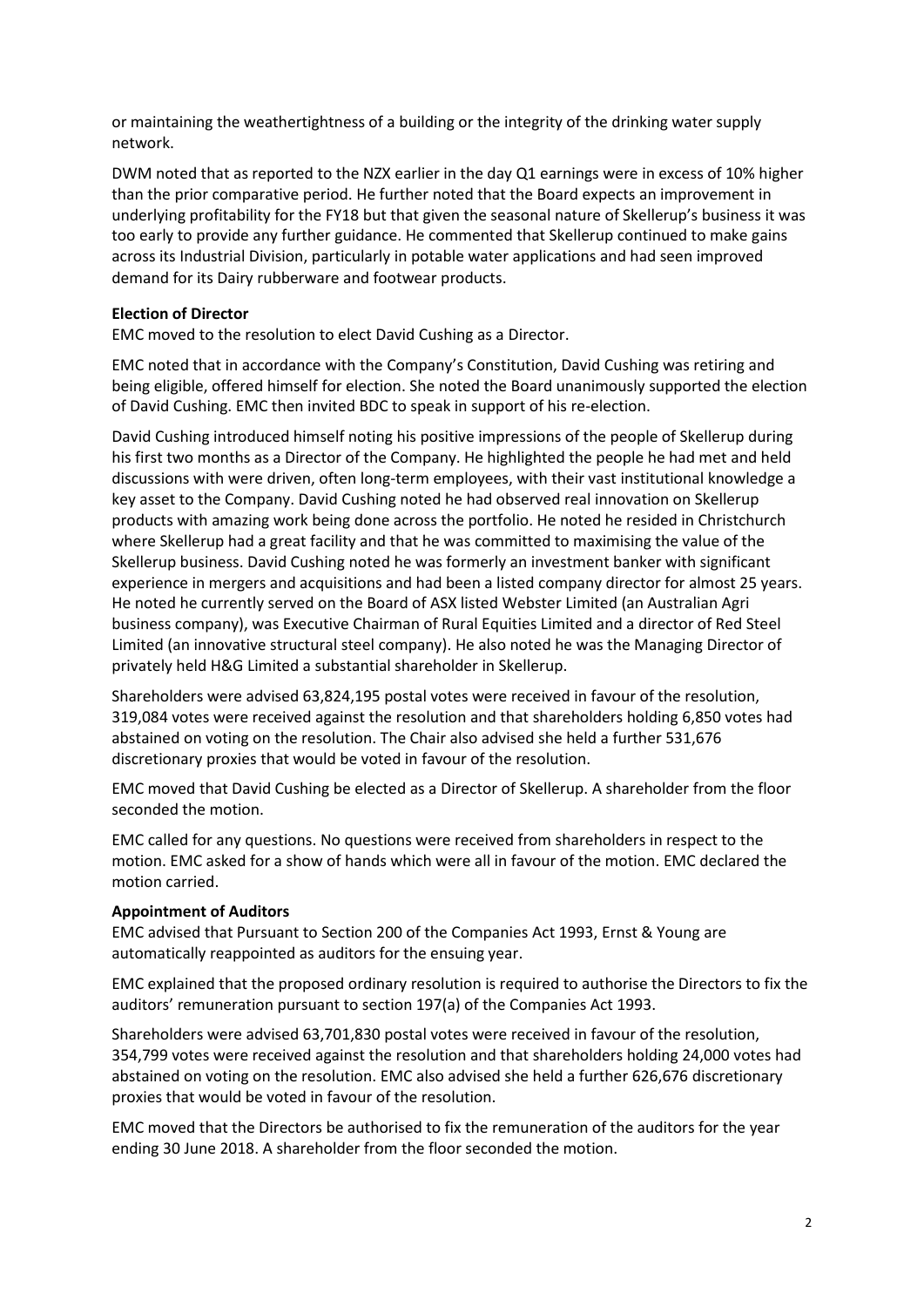or maintaining the weathertightness of a building or the integrity of the drinking water supply network.

DWM noted that as reported to the NZX earlier in the day Q1 earnings were in excess of 10% higher than the prior comparative period. He further noted that the Board expects an improvement in underlying profitability for the FY18 but that given the seasonal nature of Skellerup's business it was too early to provide any further guidance. He commented that Skellerup continued to make gains across its Industrial Division, particularly in potable water applications and had seen improved demand for its Dairy rubberware and footwear products.

### **Election of Director**

EMC moved to the resolution to elect David Cushing as a Director.

EMC noted that in accordance with the Company's Constitution, David Cushing was retiring and being eligible, offered himself for election. She noted the Board unanimously supported the election of David Cushing. EMC then invited BDC to speak in support of his re-election.

David Cushing introduced himself noting his positive impressions of the people of Skellerup during his first two months as a Director of the Company. He highlighted the people he had met and held discussions with were driven, often long-term employees, with their vast institutional knowledge a key asset to the Company. David Cushing noted he had observed real innovation on Skellerup products with amazing work being done across the portfolio. He noted he resided in Christchurch where Skellerup had a great facility and that he was committed to maximising the value of the Skellerup business. David Cushing noted he was formerly an investment banker with significant experience in mergers and acquisitions and had been a listed company director for almost 25 years. He noted he currently served on the Board of ASX listed Webster Limited (an Australian Agri business company), was Executive Chairman of Rural Equities Limited and a director of Red Steel Limited (an innovative structural steel company). He also noted he was the Managing Director of privately held H&G Limited a substantial shareholder in Skellerup.

Shareholders were advised 63,824,195 postal votes were received in favour of the resolution, 319,084 votes were received against the resolution and that shareholders holding 6,850 votes had abstained on voting on the resolution. The Chair also advised she held a further 531,676 discretionary proxies that would be voted in favour of the resolution.

EMC moved that David Cushing be elected as a Director of Skellerup. A shareholder from the floor seconded the motion.

EMC called for any questions. No questions were received from shareholders in respect to the motion. EMC asked for a show of hands which were all in favour of the motion. EMC declared the motion carried.

#### **Appointment of Auditors**

EMC advised that Pursuant to Section 200 of the Companies Act 1993, Ernst & Young are automatically reappointed as auditors for the ensuing year.

EMC explained that the proposed ordinary resolution is required to authorise the Directors to fix the auditors' remuneration pursuant to section 197(a) of the Companies Act 1993.

Shareholders were advised 63,701,830 postal votes were received in favour of the resolution, 354,799 votes were received against the resolution and that shareholders holding 24,000 votes had abstained on voting on the resolution. EMC also advised she held a further 626,676 discretionary proxies that would be voted in favour of the resolution.

EMC moved that the Directors be authorised to fix the remuneration of the auditors for the year ending 30 June 2018. A shareholder from the floor seconded the motion.